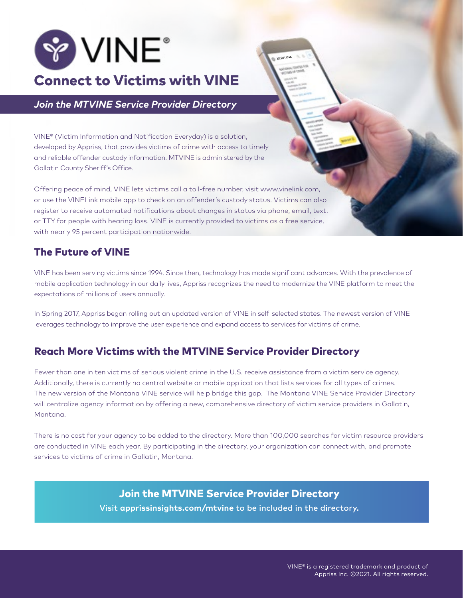

*Join the MTVINE Service Provider Directory*

VINE® (Victim Information and Notification Everyday) is a solution, developed by Appriss, that provides victims of crime with access to timely and reliable offender custody information. MTVINE is administered by the Gallatin County Sheriff's Office.

Offering peace of mind, VINE lets victims call a toll-free number, visit www.vinelink.com, or use the VINELink mobile app to check on an offender's custody status. Victims can also register to receive automated notifications about changes in status via phone, email, text, or TTY for people with hearing loss. VINE is currently provided to victims as a free service, with nearly 95 percent participation nationwide.

# The Future of VINE

VINE has been serving victims since 1994. Since then, technology has made significant advances. With the prevalence of mobile application technology in our daily lives, Appriss recognizes the need to modernize the VINE platform to meet the expectations of millions of users annually.

MONTANA

In Spring 2017, Appriss began rolling out an updated version of VINE in self-selected states. The newest version of VINE leverages technology to improve the user experience and expand access to services for victims of crime.

# Reach More Victims with the MTVINE Service Provider Directory

Fewer than one in ten victims of serious violent crime in the U.S. receive assistance from a victim service agency. Additionally, there is currently no central website or mobile application that lists services for all types of crimes. The new version of the Montana VINE service will help bridge this gap. The Montana VINE Service Provider Directory will centralize agency information by offering a new, comprehensive directory of victim service providers in Gallatin, Montana.

There is no cost for your agency to be added to the directory. More than 100,000 searches for victim resource providers are conducted in VINE each year. By participating in the directory, your organization can connect with, and promote services to victims of crime in Gallatin, Montana.

> [Join the MTVINE Service Provider Directory](http://www.apprissinsights.com/scvine) Visit **[apprissinsights.com/mtvine](http://www.apprissinsights.com/azvine)** to be included in the directory.